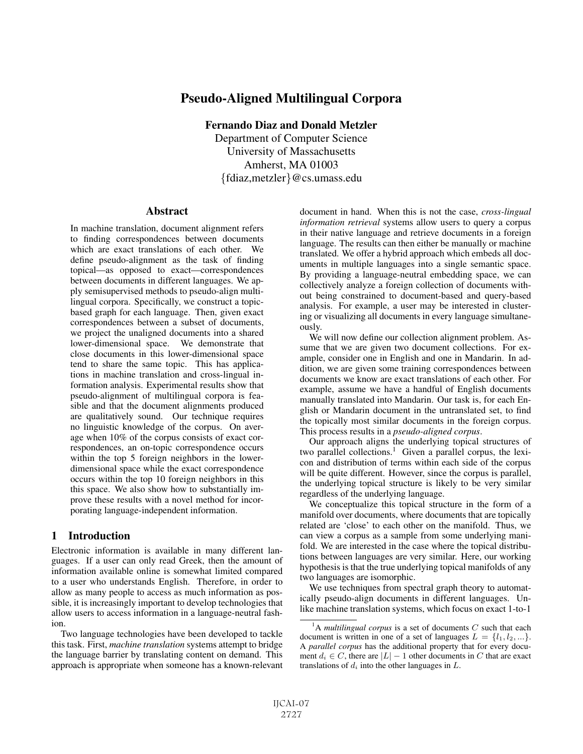# Pseudo-Aligned Multilingual Corpora

Fernando Diaz and Donald Metzler

Department of Computer Science University of Massachusetts Amherst, MA 01003 {fdiaz,metzler}@cs.umass.edu

#### Abstract

In machine translation, document alignment refers to finding correspondences between documents which are exact translations of each other. We define pseudo-alignment as the task of finding topical—as opposed to exact—correspondences between documents in different languages. We apply semisupervised methods to pseudo-align multilingual corpora. Specifically, we construct a topicbased graph for each language. Then, given exact correspondences between a subset of documents, we project the unaligned documents into a shared lower-dimensional space. We demonstrate that close documents in this lower-dimensional space tend to share the same topic. This has applications in machine translation and cross-lingual information analysis. Experimental results show that pseudo-alignment of multilingual corpora is feasible and that the document alignments produced are qualitatively sound. Our technique requires no linguistic knowledge of the corpus. On average when 10% of the corpus consists of exact correspondences, an on-topic correspondence occurs within the top 5 foreign neighbors in the lowerdimensional space while the exact correspondence occurs within the top 10 foreign neighbors in this this space. We also show how to substantially improve these results with a novel method for incorporating language-independent information.

# 1 Introduction

Electronic information is available in many different languages. If a user can only read Greek, then the amount of information available online is somewhat limited compared to a user who understands English. Therefore, in order to allow as many people to access as much information as possible, it is increasingly important to develop technologies that allow users to access information in a language-neutral fashion.

Two language technologies have been developed to tackle this task. First, *machine translation* systems attempt to bridge the language barrier by translating content on demand. This approach is appropriate when someone has a known-relevant document in hand. When this is not the case, *cross-lingual information retrieval* systems allow users to query a corpus in their native language and retrieve documents in a foreign language. The results can then either be manually or machine translated. We offer a hybrid approach which embeds all documents in multiple languages into a single semantic space. By providing a language-neutral embedding space, we can collectively analyze a foreign collection of documents without being constrained to document-based and query-based analysis. For example, a user may be interested in clustering or visualizing all documents in every language simultaneously.

We will now define our collection alignment problem. Assume that we are given two document collections. For example, consider one in English and one in Mandarin. In addition, we are given some training correspondences between documents we know are exact translations of each other. For example, assume we have a handful of English documents manually translated into Mandarin. Our task is, for each English or Mandarin document in the untranslated set, to find the topically most similar documents in the foreign corpus. This process results in a *pseudo-aligned corpus*.

Our approach aligns the underlying topical structures of two parallel collections.<sup>1</sup> Given a parallel corpus, the lexicon and distribution of terms within each side of the corpus will be quite different. However, since the corpus is parallel, the underlying topical structure is likely to be very similar regardless of the underlying language.

We conceptualize this topical structure in the form of a manifold over documents, where documents that are topically related are 'close' to each other on the manifold. Thus, we can view a corpus as a sample from some underlying manifold. We are interested in the case where the topical distributions between languages are very similar. Here, our working hypothesis is that the true underlying topical manifolds of any two languages are isomorphic.

We use techniques from spectral graph theory to automatically pseudo-align documents in different languages. Unlike machine translation systems, which focus on exact 1-to-1

<sup>&</sup>lt;sup>1</sup>A *multilingual corpus* is a set of documents  $C$  such that each document is written in one of a set of languages  $L = \{l_1, l_2, ...\}$ . A *parallel corpus* has the additional property that for every document  $d_i \in C$ , there are  $|L| - 1$  other documents in C that are exact translations of  $d_i$  into the other languages in  $L$ .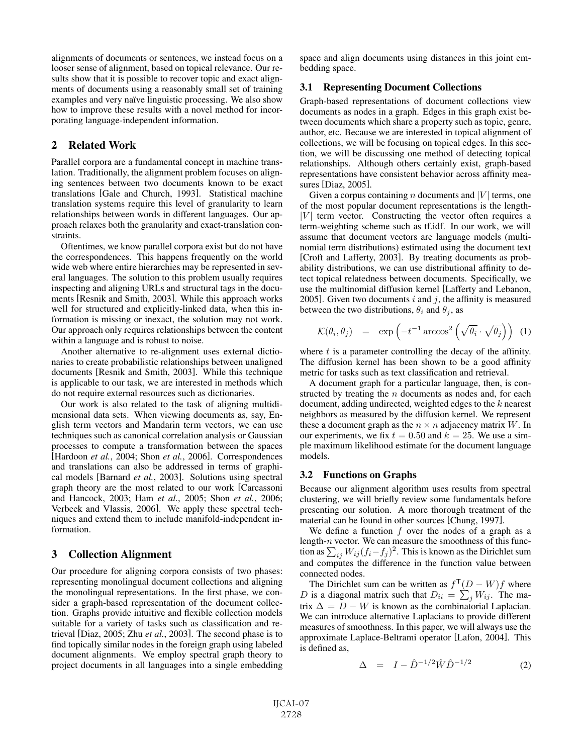alignments of documents or sentences, we instead focus on a looser sense of alignment, based on topical relevance. Our results show that it is possible to recover topic and exact alignments of documents using a reasonably small set of training examples and very naïve linguistic processing. We also show how to improve these results with a novel method for incorporating language-independent information.

# 2 Related Work

Parallel corpora are a fundamental concept in machine translation. Traditionally, the alignment problem focuses on aligning sentences between two documents known to be exact translations [Gale and Church, 1993]. Statistical machine translation systems require this level of granularity to learn relationships between words in different languages. Our approach relaxes both the granularity and exact-translation constraints.

Oftentimes, we know parallel corpora exist but do not have the correspondences. This happens frequently on the world wide web where entire hierarchies may be represented in several languages. The solution to this problem usually requires inspecting and aligning URLs and structural tags in the documents [Resnik and Smith, 2003]. While this approach works well for structured and explicitly-linked data, when this information is missing or inexact, the solution may not work. Our approach only requires relationships between the content within a language and is robust to noise.

Another alternative to re-alignment uses external dictionaries to create probabilistic relationships between unaligned documents [Resnik and Smith, 2003]. While this technique is applicable to our task, we are interested in methods which do not require external resources such as dictionaries.

Our work is also related to the task of aligning multidimensional data sets. When viewing documents as, say, English term vectors and Mandarin term vectors, we can use techniques such as canonical correlation analysis or Gaussian processes to compute a transformation between the spaces [Hardoon *et al.*, 2004; Shon *et al.*, 2006]. Correspondences and translations can also be addressed in terms of graphical models [Barnard *et al.*, 2003]. Solutions using spectral graph theory are the most related to our work [Carcassoni and Hancock, 2003; Ham *et al.*, 2005; Shon *et al.*, 2006; Verbeek and Vlassis, 2006]. We apply these spectral techniques and extend them to include manifold-independent information.

## 3 Collection Alignment

Our procedure for aligning corpora consists of two phases: representing monolingual document collections and aligning the monolingual representations. In the first phase, we consider a graph-based representation of the document collection. Graphs provide intuitive and flexible collection models suitable for a variety of tasks such as classification and retrieval [Diaz, 2005; Zhu *et al.*, 2003]. The second phase is to find topically similar nodes in the foreign graph using labeled document alignments. We employ spectral graph theory to project documents in all languages into a single embedding space and align documents using distances in this joint embedding space.

#### 3.1 Representing Document Collections

Graph-based representations of document collections view documents as nodes in a graph. Edges in this graph exist between documents which share a property such as topic, genre, author, etc. Because we are interested in topical alignment of collections, we will be focusing on topical edges. In this section, we will be discussing one method of detecting topical relationships. Although others certainly exist, graph-based representations have consistent behavior across affinity measures [Diaz, 2005].

Given a corpus containing n documents and  $|V|$  terms, one of the most popular document representations is the length-  $|V|$  term vector. Constructing the vector often requires a term-weighting scheme such as tf.idf. In our work, we will assume that document vectors are language models (multinomial term distributions) estimated using the document text [Croft and Lafferty, 2003]. By treating documents as probability distributions, we can use distributional affinity to detect topical relatedness between documents. Specifically, we use the multinomial diffusion kernel [Lafferty and Lebanon, 2005]. Given two documents  $i$  and  $j$ , the affinity is measured between the two distributions,  $\theta_i$  and  $\theta_i$ , as

$$
\mathcal{K}(\theta_i, \theta_j) = \exp\left(-t^{-1}\arccos^2\left(\sqrt{\theta_i} \cdot \sqrt{\theta_j}\right)\right) \tag{1}
$$

where  $t$  is a parameter controlling the decay of the affinity. The diffusion kernel has been shown to be a good affinity metric for tasks such as text classification and retrieval.

A document graph for a particular language, then, is constructed by treating the  $n$  documents as nodes and, for each document, adding undirected, weighted edges to the k nearest neighbors as measured by the diffusion kernel. We represent these a document graph as the  $n \times n$  adjacency matrix W. In our experiments, we fix  $t = 0.50$  and  $k = 25$ . We use a simple maximum likelihood estimate for the document language models.

## 3.2 Functions on Graphs

Because our alignment algorithm uses results from spectral clustering, we will briefly review some fundamentals before presenting our solution. A more thorough treatment of the material can be found in other sources [Chung, 1997].

We define a function  $f$  over the nodes of a graph as a length- $n$  vector. We can measure the smoothness of this function as  $\sum_{ij} W_{ij} (f_i - f_j)^2$ . This is known as the Dirichlet sum and computes the difference in the function value between connected nodes.

The Dirichlet sum can be written as  $f^{\mathsf{T}}(D - W)f$  where D is a diagonal matrix such that  $D_{ii} = \sum_j W_{ij}$ . The matrix  $\Delta = D - W$  is known as the combinatorial Laplacian. We can introduce alternative Laplacians to provide different measures of smoothness. In this paper, we will always use the approximate Laplace-Beltrami operator [Lafon, 2004]. This is defined as,

$$
\Delta = I - \hat{D}^{-1/2} \hat{W} \hat{D}^{-1/2}
$$
 (2)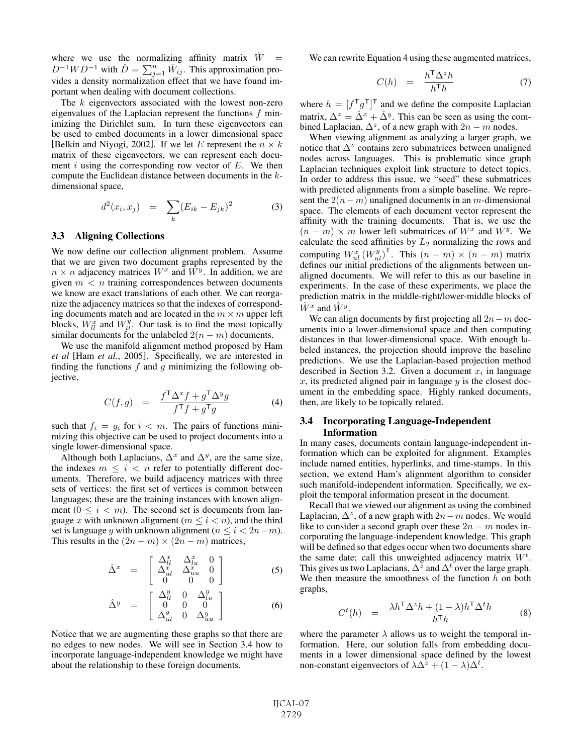where we use the normalizing affinity matrix  $\hat{W}$  =  $D^{-1}WD^{-1}$  with  $\hat{D} = \sum_{j=1}^{n} \hat{W}_{ij}$ . This approximation provides a density normalization effect that we have found important when dealing with document collections.

The  $k$  eigenvectors associated with the lowest non-zero eigenvalues of the Laplacian represent the functions f minimizing the Dirichlet sum. In turn these eigenvectors can be used to embed documents in a lower dimensional space [Belkin and Niyogi, 2002]. If we let E represent the  $n \times k$ matrix of these eigenvectors, we can represent each document i using the corresponding row vector of  $E$ . We then compute the Euclidean distance between documents in the kdimensional space,

$$
d^{2}(x_{i}, x_{j}) = \sum_{k} (E_{ik} - E_{jk})^{2}
$$
 (3)

#### 3.3 Aligning Collections

We now define our collection alignment problem. Assume that we are given two document graphs represented by the  $n \times n$  adjacency matrices  $W^x$  and  $W^y$ . In addition, we are given  $m < n$  training correspondences between documents we know are exact translations of each other. We can reorganize the adjacency matrices so that the indexes of corresponding documents match and are located in the  $m \times m$  upper left blocks,  $W_{ll}^x$  and  $W_{ll}^y$ . Our task is to find the most topically similar documents for the unlabeled  $2(n - m)$  documents.

We use the manifold alignment method proposed by Ham *et al* [Ham *et al.*, 2005]. Specifically, we are interested in finding the functions  $f$  and  $g$  minimizing the following objective,

$$
C(f,g) = \frac{f^{\mathsf{T}} \Delta^x f + g^{\mathsf{T}} \Delta^y g}{f^{\mathsf{T}} f + g^{\mathsf{T}} g} \tag{4}
$$

such that  $f_i = g_i$  for  $i < m$ . The pairs of functions minimizing this objective can be used to project documents into a single lower-dimensional space.

Although both Laplacians,  $\Delta^x$  and  $\Delta^y$ , are the same size, the indexes  $m \leq i < n$  refer to potentially different documents. Therefore, we build adjacency matrices with three sets of vertices: the first set of vertices is common between languages; these are the training instances with known alignment  $(0 \le i \le m)$ . The second set is documents from language x with unknown alignment ( $m \le i \le n$ ), and the third set is language y with unknown alignment ( $n \le i < 2n-m$ ). This results in the  $(2n - m) \times (2n - m)$  matrices,

$$
\hat{\Delta}^x = \begin{bmatrix} \Delta_{ll}^x & \Delta_{l}^x & 0\\ \Delta_{ul}^x & \Delta_{uu}^x & 0\\ 0 & 0 & 0 \end{bmatrix}
$$
 (5)

$$
\hat{\Delta}^y = \begin{bmatrix} \Delta_{ll}^y & 0 & \Delta_{lu}^y \\ 0 & 0 & 0 \\ \Delta_{ul}^y & 0 & \Delta_{uu}^y \end{bmatrix}
$$
 (6)

Notice that we are augmenting these graphs so that there are no edges to new nodes. We will see in Section 3.4 how to incorporate language-independent knowledge we might have about the relationship to these foreign documents.

We can rewrite Equation 4 using these augmented matrices,

$$
C(h) = \frac{h^{\mathsf{T}} \Delta^z h}{h^{\mathsf{T}} h}
$$
 (7)

where  $h = [f^{\mathsf{T}} g^{\mathsf{T}}]^{\mathsf{T}}$  and we define the composite Laplacian matrix,  $\Delta^z = \hat{\Delta}^x + \hat{\Delta}^y$ . This can be seen as using the combined Laplacian,  $\Delta^z$ , of a new graph with  $2n - m$  nodes.

When viewing alignment as analyzing a larger graph, we notice that  $\Delta^z$  contains zero submatrices between unaligned nodes across languages. This is problematic since graph Laplacian techniques exploit link structure to detect topics. In order to address this issue, we "seed" these submatrices with predicted alignments from a simple baseline. We represent the  $2(n-m)$  unaligned documents in an m-dimensional space. The elements of each document vector represent the affinity with the training documents. That is, we use the  $(n - m) \times m$  lower left submatrices of  $W^x$  and  $W^y$ . We calculate the seed affinities by  $L_2$  normalizing the rows and computing  $W_{ul}^x (W_{ul}^y)^\mathsf{T}$ . This  $(n - m) \times (n - m)$  matrix defines our initial predictions of the alignments between unaligned documents. We will refer to this as our baseline in experiments. In the case of these experiments, we place the prediction matrix in the middle-right/lower-middle blocks of  $\hat{W}^x$  and  $\hat{W}^y$ .

We can align documents by first projecting all  $2n-m$  documents into a lower-dimensional space and then computing distances in that lower-dimensional space. With enough labeled instances, the projection should improve the baseline predictions. We use the Laplacian-based projection method described in Section 3.2. Given a document  $x_i$  in language x, its predicted aligned pair in language  $y$  is the closest document in the embedding space. Highly ranked documents, then, are likely to be topically related.

#### 3.4 Incorporating Language-Independent Information

In many cases, documents contain language-independent information which can be exploited for alignment. Examples include named entities, hyperlinks, and time-stamps. In this section, we extend Ham's alignment algorithm to consider such manifold-independent information. Specifically, we exploit the temporal information present in the document.

Recall that we viewed our alignment as using the combined Laplacian,  $\Delta^z$ , of a new graph with  $2n-m$  nodes. We would like to consider a second graph over these  $2n - m$  nodes incorporating the language-independent knowledge. This graph will be defined so that edges occur when two documents share the same date; call this unweighted adjacency matrix  $W^t$ . This gives us two Laplacians,  $\Delta^z$  and  $\Delta^t$  over the large graph. We then measure the smoothness of the function  $h$  on both graphs,

$$
C^{t}(h) = \frac{\lambda h^{\mathsf{T}} \Delta^{z} h + (1 - \lambda) h^{\mathsf{T}} \Delta^{t} h}{h^{\mathsf{T}} h}
$$
(8)

where the parameter  $\lambda$  allows us to weight the temporal information. Here, our solution falls from embedding documents in a lower dimensional space defined by the lowest non-constant eigenvectors of  $\lambda \Delta^{\bar{z}} + (1 - \lambda) \Delta^t$ .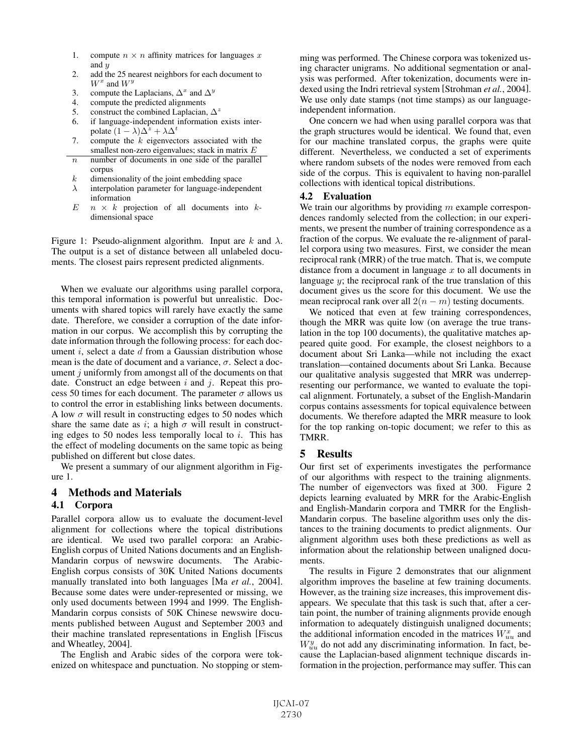- 1. compute  $n \times n$  affinity matrices for languages x and  $\boldsymbol{u}$
- 2. add the 25 nearest neighbors for each document to  $W^x$  and  $W^y$
- 3. compute the Laplacians,  $\Delta^x$  and  $\Delta^y$
- 4. compute the predicted alignments
- 5. construct the combined Laplacian,  $\Delta^z$
- 6. if language-independent information exists interpolate  $(1 - \lambda)\Delta^z + \lambda \Delta^t$
- 7. compute the  $k$  eigenvectors associated with the smallest non-zero eigenvalues; stack in matrix E
- $n$  number of documents in one side of the parallel corpus
- $k$  dimensionality of the joint embedding space
- $\lambda$  interpolation parameter for language-independent information
- $E \nightharpoonup n \times k$  projection of all documents into  $k$ dimensional space

Figure 1: Pseudo-alignment algorithm. Input are  $k$  and  $\lambda$ . The output is a set of distance between all unlabeled documents. The closest pairs represent predicted alignments.

When we evaluate our algorithms using parallel corpora, this temporal information is powerful but unrealistic. Documents with shared topics will rarely have exactly the same date. Therefore, we consider a corruption of the date information in our corpus. We accomplish this by corrupting the date information through the following process: for each document  $i$ , select a date  $d$  from a Gaussian distribution whose mean is the date of document and a variance,  $\sigma$ . Select a document  $j$  uniformly from amongst all of the documents on that date. Construct an edge between  $i$  and  $j$ . Repeat this process 50 times for each document. The parameter  $\sigma$  allows us to control the error in establishing links between documents. A low  $\sigma$  will result in constructing edges to 50 nodes which share the same date as i; a high  $\sigma$  will result in constructing edges to 50 nodes less temporally local to  $i$ . This has the effect of modeling documents on the same topic as being published on different but close dates.

We present a summary of our alignment algorithm in Figure 1.

# 4 Methods and Materials

## 4.1 Corpora

Parallel corpora allow us to evaluate the document-level alignment for collections where the topical distributions are identical. We used two parallel corpora: an Arabic-English corpus of United Nations documents and an English-Mandarin corpus of newswire documents. The Arabic-English corpus consists of 30K United Nations documents manually translated into both languages [Ma *et al.*, 2004]. Because some dates were under-represented or missing, we only used documents between 1994 and 1999. The English-Mandarin corpus consists of 50K Chinese newswire documents published between August and September 2003 and their machine translated representations in English [Fiscus and Wheatley, 2004].

The English and Arabic sides of the corpora were tokenized on whitespace and punctuation. No stopping or stemming was performed. The Chinese corpora was tokenized using character unigrams. No additional segmentation or analysis was performed. After tokenization, documents were indexed using the Indri retrieval system [Strohman *et al.*, 2004]. We use only date stamps (not time stamps) as our languageindependent information.

One concern we had when using parallel corpora was that the graph structures would be identical. We found that, even for our machine translated corpus, the graphs were quite different. Nevertheless, we conducted a set of experiments where random subsets of the nodes were removed from each side of the corpus. This is equivalent to having non-parallel collections with identical topical distributions.

## 4.2 Evaluation

We train our algorithms by providing  $m$  example correspondences randomly selected from the collection; in our experiments, we present the number of training correspondence as a fraction of the corpus. We evaluate the re-alignment of parallel corpora using two measures. First, we consider the mean reciprocal rank (MRR) of the true match. That is, we compute distance from a document in language  $x$  to all documents in language  $y$ ; the reciprocal rank of the true translation of this document gives us the score for this document. We use the mean reciprocal rank over all  $2(n - m)$  testing documents.

We noticed that even at few training correspondences, though the MRR was quite low (on average the true translation in the top 100 documents), the qualitative matches appeared quite good. For example, the closest neighbors to a document about Sri Lanka—while not including the exact translation—contained documents about Sri Lanka. Because our qualitative analysis suggested that MRR was underrepresenting our performance, we wanted to evaluate the topical alignment. Fortunately, a subset of the English-Mandarin corpus contains assessments for topical equivalence between documents. We therefore adapted the MRR measure to look for the top ranking on-topic document; we refer to this as TMRR.

# 5 Results

Our first set of experiments investigates the performance of our algorithms with respect to the training alignments. The number of eigenvectors was fixed at 300. Figure 2 depicts learning evaluated by MRR for the Arabic-English and English-Mandarin corpora and TMRR for the English-Mandarin corpus. The baseline algorithm uses only the distances to the training documents to predict alignments. Our alignment algorithm uses both these predictions as well as information about the relationship between unaligned documents.

The results in Figure 2 demonstrates that our alignment algorithm improves the baseline at few training documents. However, as the training size increases, this improvement disappears. We speculate that this task is such that, after a certain point, the number of training alignments provide enough information to adequately distinguish unaligned documents; the additional information encoded in the matrices  $W_{uu}^x$  and  $W_{uu}^{y}$  do not add any discriminating information. In fact, because the Laplacian-based alignment technique discards information in the projection, performance may suffer. This can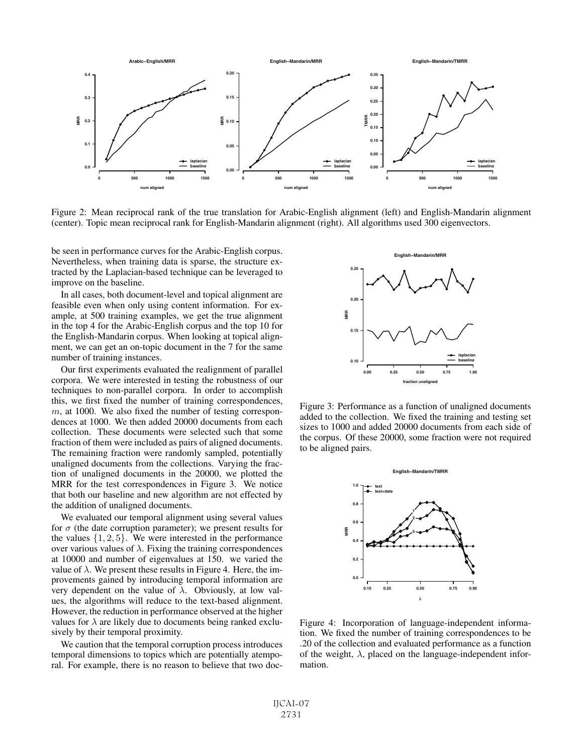

Figure 2: Mean reciprocal rank of the true translation for Arabic-English alignment (left) and English-Mandarin alignment (center). Topic mean reciprocal rank for English-Mandarin alignment (right). All algorithms used 300 eigenvectors.

be seen in performance curves for the Arabic-English corpus. Nevertheless, when training data is sparse, the structure extracted by the Laplacian-based technique can be leveraged to improve on the baseline.

In all cases, both document-level and topical alignment are feasible even when only using content information. For example, at 500 training examples, we get the true alignment in the top 4 for the Arabic-English corpus and the top 10 for the English-Mandarin corpus. When looking at topical alignment, we can get an on-topic document in the 7 for the same number of training instances.

Our first experiments evaluated the realignment of parallel corpora. We were interested in testing the robustness of our techniques to non-parallel corpora. In order to accomplish this, we first fixed the number of training correspondences,  $m$ , at 1000. We also fixed the number of testing correspondences at 1000. We then added 20000 documents from each collection. These documents were selected such that some fraction of them were included as pairs of aligned documents. The remaining fraction were randomly sampled, potentially unaligned documents from the collections. Varying the fraction of unaligned documents in the 20000, we plotted the MRR for the test correspondences in Figure 3. We notice that both our baseline and new algorithm are not effected by the addition of unaligned documents.

We evaluated our temporal alignment using several values for  $\sigma$  (the date corruption parameter); we present results for the values  $\{1, 2, 5\}$ . We were interested in the performance over various values of  $\lambda$ . Fixing the training correspondences at 10000 and number of eigenvalues at 150. we varied the value of  $\lambda$ . We present these results in Figure 4. Here, the improvements gained by introducing temporal information are very dependent on the value of  $\lambda$ . Obviously, at low values, the algorithms will reduce to the text-based alignment. However, the reduction in performance observed at the higher values for  $\lambda$  are likely due to documents being ranked exclusively by their temporal proximity.

We caution that the temporal corruption process introduces temporal dimensions to topics which are potentially atemporal. For example, there is no reason to believe that two doc-



Figure 3: Performance as a function of unaligned documents added to the collection. We fixed the training and testing set sizes to 1000 and added 20000 documents from each side of the corpus. Of these 20000, some fraction were not required to be aligned pairs.



Figure 4: Incorporation of language-independent information. We fixed the number of training correspondences to be .20 of the collection and evaluated performance as a function of the weight,  $\lambda$ , placed on the language-independent information.